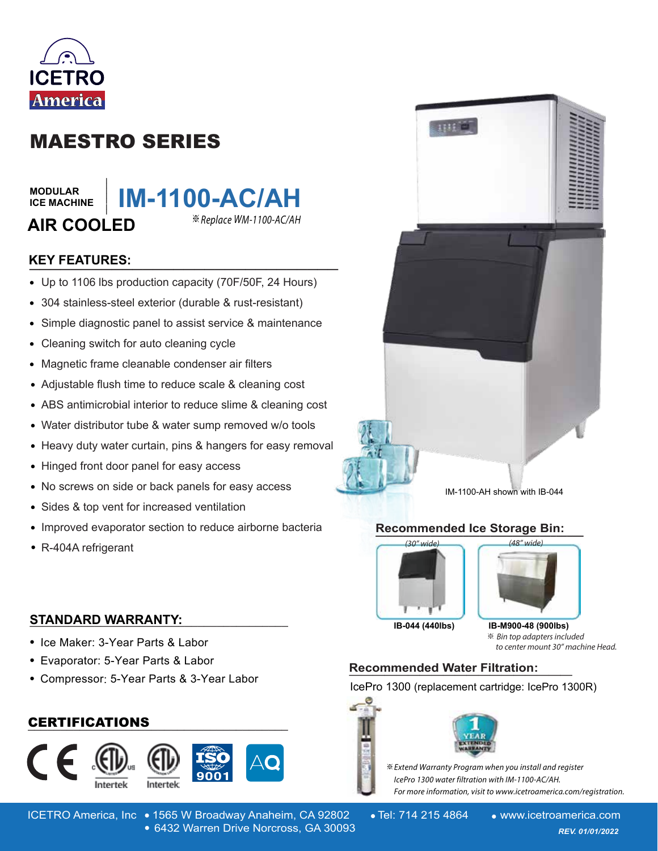

# MAESTRO SERIES

**\_\_\_\_\_\_\_**

**MODULAR ICE MACHINE**

# **IM-1100-AC/AH AIR COOLED** ※

## **KEY FEATURES: \_\_\_\_\_\_\_\_\_\_\_\_\_\_\_\_\_\_\_\_\_\_\_\_\_\_\_\_\_\_**

- Up to 1106 lbs production capacity (70F/50F, 24 Hours)
- 304 stainless-steel exterior (durable & rust-resistant)
- Simple diagnostic panel to assist service & maintenance  $\bullet$
- Cleaning switch for auto cleaning cycle
- Magnetic frame cleanable condenser air filters  $\bullet$
- Adjustable flush time to reduce scale & cleaning cost
- ABS antimicrobial interior to reduce slime & cleaning cost
- Water distributor tube & water sump removed w/o tools
- Heavy duty water curtain, pins & hangers for easy removal
- Hinged front door panel for easy access  $\bullet$
- No screws on side or back panels for easy access  $\bullet$
- Sides & top vent for increased ventilation  $\bullet$
- Improved evaporator section to reduce airborne bacteria  $\bullet$
- R-404A refrigerant

#### **STANDARD WARRANTY: \_\_\_\_\_\_\_\_\_\_\_\_\_\_\_\_\_\_\_\_\_\_\_\_\_\_\_\_\_\_\_\_\_\_\_\_\_\_\_\_**

- Ice Maker: 3-Year Parts & Labor
- Evaporator: 5-Year Parts & Labor
- Compressor: 5-Year Parts & 3-Year Labor

### **\_\_\_\_\_\_\_\_\_\_\_\_\_\_\_\_\_\_\_\_\_\_\_\_\_\_\_\_\_\_\_\_\_\_\_\_\_\_\_\_** CERTIFICATIONS



ICETRO America, Inc • 1565 W Broadway Anaheim, CA 92802 • Tel: 714 215 4864 • www.icetroamerica.com 6432 Warren Drive Norcross, GA 30093 *REV. 01/01/2022* 6432 Warren Drive Norcross, GA 30093



1111

IM-1100-AH shown with IB-044

#### **Recommended Ice Storage Bin: \_\_\_\_\_\_\_\_\_\_\_\_\_\_\_\_\_\_\_\_\_\_\_\_\_\_\_\_\_\_\_\_\_\_\_\_\_\_**



※**IB-044 (440lbs) IB-M900-48 (900lbs)**

to center mount 30" machine Head.

## **Recommended Water Filtration: \_\_\_\_\_\_\_\_\_\_\_\_\_\_\_\_\_\_\_**

IcePro 1300 (replacement cartridge: IcePro 1300R)



※ Extend Warranty Program when you install and register lcePro 1300 water filtration with IM-1100-AC/AH. For more information, visit to www.icetroamerica.com/registration.